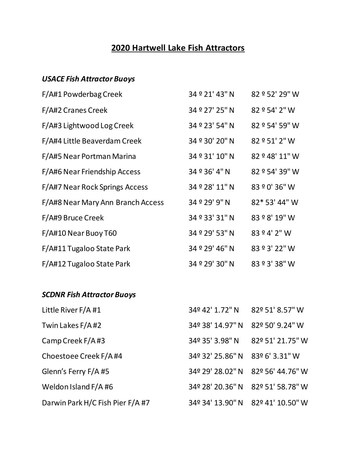## **2020 Hartwell Lake Fish Attractors**

## *USACE Fish Attractor Buoys*

| F/A#1 Powderbag Creek             | 34 º 21' 43" N   | 82 º 52' 29" W   |
|-----------------------------------|------------------|------------------|
| F/A#2 Cranes Creek                | 34 º 27' 25" N   | 82 º 54' 2" W    |
| F/A#3 Lightwood Log Creek         | 34 º 23' 54" N   | 82 º 54' 59" W   |
| F/A#4 Little Beaverdam Creek      | 34 º 30' 20" N   | 82 º 51' 2" W    |
| F/A#5 Near Portman Marina         | 34 º 31' 10" N   | 82 º 48' 11" W   |
| F/A#6 Near Friendship Access      | 34 º 36' 4" N    | 82 º 54' 39" W   |
| F/A#7 Near Rock Springs Access    | 34 º 28' 11" N   | 83 º 0' 36" W    |
| F/A#8 Near Mary Ann Branch Access | 34 º 29' 9" N    | 82* 53' 44" W    |
| F/A#9 Bruce Creek                 | 34 º 33' 31" N   | 83 º 8' 19" W    |
| F/A#10 Near Buoy T60              | 34 º 29' 53" N   | 83 º 4' 2" W     |
| F/A#11 Tugaloo State Park         | 34 º 29' 46" N   | 83 º 3' 22" W    |
| F/A#12 Tugaloo State Park         | 34 º 29' 30" N   | 83 º 3' 38" W    |
| <b>SCDNR Fish Attractor Buoys</b> |                  |                  |
| Little River F/A #1               | 34º 42' 1.72" N  | 82º 51' 8.57" W  |
| Twin Lakes F/A#2                  | 34º 38' 14.97" N | 82º 50' 9.24" W  |
| Camp Creek F/A#3                  | 34º 35' 3.98" N  | 82º 51' 21.75" W |

| Choestoee Creek F/A #4           | 34º 32' 25.86" N 83º 6' 3.31" W |                                   |
|----------------------------------|---------------------------------|-----------------------------------|
| Glenn's Ferry F/A #5             |                                 | 34º 29' 28.02" N 82º 56' 44.76" W |
| Weldon Island F/A #6             |                                 | 34º 28' 20.36" N 82º 51' 58.78" W |
| Darwin Park H/C Fish Pier F/A #7 |                                 | 34º 34' 13.90" N 82º 41' 10.50" W |